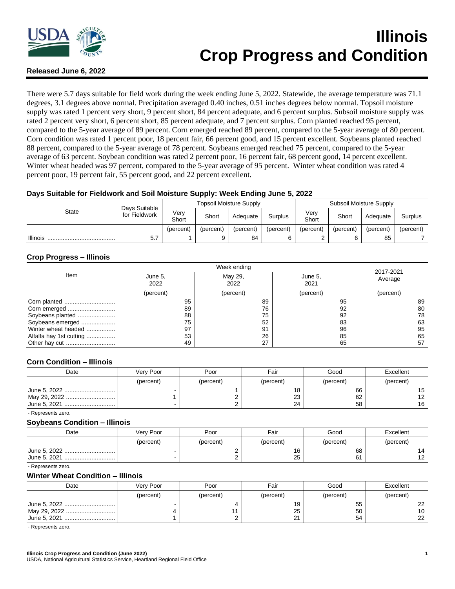

# **Illinois Crop Progress and Condition**

# **Released June 6, 2022**

There were 5.7 days suitable for field work during the week ending June 5, 2022. Statewide, the average temperature was 71.1 degrees, 3.1 degrees above normal. Precipitation averaged 0.40 inches, 0.51 inches degrees below normal. Topsoil moisture supply was rated 1 percent very short, 9 percent short, 84 percent adequate, and 6 percent surplus. Subsoil moisture supply was rated 2 percent very short, 6 percent short, 85 percent adequate, and 7 percent surplus. Corn planted reached 95 percent, compared to the 5-year average of 89 percent. Corn emerged reached 89 percent, compared to the 5-year average of 80 percent. Corn condition was rated 1 percent poor, 18 percent fair, 66 percent good, and 15 percent excellent. Soybeans planted reached 88 percent, compared to the 5-year average of 78 percent. Soybeans emerged reached 75 percent, compared to the 5-year average of 63 percent. Soybean condition was rated 2 percent poor, 16 percent fair, 68 percent good, 14 percent excellent. Winter wheat headed was 97 percent, compared to the 5-year average of 95 percent. Winter wheat condition was rated 4 percent poor, 19 percent fair, 55 percent good, and 22 percent excellent.

# **Days Suitable for Fieldwork and Soil Moisture Supply: Week Ending June 5, 2022**

| <b>State</b>    |                                | <b>Topsoil Moisture Supply</b> |           |           |           | Subsoil Moisture Supply |           |           |           |
|-----------------|--------------------------------|--------------------------------|-----------|-----------|-----------|-------------------------|-----------|-----------|-----------|
|                 | Days Suitable<br>for Fieldwork | Verv<br>Short                  | Short     | Adequate  | Surplus   | Very<br>Short           | Short     | Adequate  | Surplus   |
|                 |                                | (percent)                      | (percent) | (percent) | (percent) | (percent)               | (percent) | (percent) | (percent) |
| <b>Illinois</b> | 5.7                            |                                | 9         | 84        |           |                         |           | 85        |           |

# **Crop Progress – Illinois**

|                         |                 | 2017-2021       |                 |           |  |
|-------------------------|-----------------|-----------------|-----------------|-----------|--|
| Item                    | June 5,<br>2022 | May 29,<br>2022 | June 5.<br>2021 | Average   |  |
|                         | (percent)       | (percent)       | (percent)       | (percent) |  |
| Corn planted            | 95              | 89              | 95              | 89        |  |
|                         | 89              | 76              | 92              | 80        |  |
| Soybeans planted        | 88              | 75              | 92              | 78        |  |
| Soybeans emerged        | 75              | 52              | 83              | 63        |  |
| Winter wheat headed     | 97              | 91              | 96              | 95        |  |
| Alfalfa hay 1st cutting | 53              | 26              | 85              | 65        |  |
|                         | 49              | 27              | 65              | 57        |  |

## **Corn Condition – Illinois**

| Date         | Very Poor | Poor      | Fair      | Good      | Excellent |
|--------------|-----------|-----------|-----------|-----------|-----------|
|              | (percent) | (percent) | (percent) | (percent) | (percent) |
| June 5, 2022 |           |           | 18        | 66        | 15        |
| May 29, 2022 |           |           | 23        | 62        | 12        |
|              |           |           | 24        | 58        | 16        |

- Represents zero.

#### **Soybeans Condition – Illinois**

| Date         | Very Poor | Poor      | Fair      | Good      | Excellent |
|--------------|-----------|-----------|-----------|-----------|-----------|
|              | (percent) | (percent) | (percent) | (percent) | (percent) |
| June 5, 2022 |           |           | 16        | 68        | 14        |
|              |           |           | 25        | 61        | ィっ        |

- Represents zero.

#### **Winter Wheat Condition – Illinois**

| Date         | Very Poor | Poor      | Fair      | Good      | Excellent |
|--------------|-----------|-----------|-----------|-----------|-----------|
|              | (percent) | (percent) | (percent) | (percent) | (percent) |
| June 5, 2022 |           |           | 19        | 55        | 22        |
| May 29, 2022 |           |           | 25        | 50        | 10        |
| June 5, 2021 |           |           | 21        | 54        | 22        |

- Represents zero.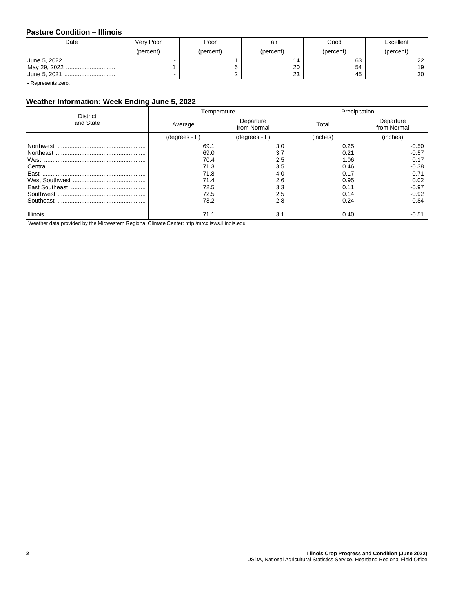# **Pasture Condition – Illinois**

| Date         | Verv Poor | Poor      | Fair      | Good      | Excellent |
|--------------|-----------|-----------|-----------|-----------|-----------|
|              | (percent) | (percent) | (percent) | (percent) | (percent) |
| June 5, 2022 |           |           | 14        | 63        | າາ        |
| May 29, 2022 |           |           | 20        | 54        | 19        |
|              |           |           | 23        | 45        | 30        |

- Represents zero.

# **Weather Information: Week Ending June 5, 2022**

| District  |                 | Temperature              | Precipitation |                          |  |
|-----------|-----------------|--------------------------|---------------|--------------------------|--|
| and State | Average         | Departure<br>from Normal | Total         | Departure<br>from Normal |  |
|           | $(degrees - F)$ | $(degrees - F)$          | (inches)      | (inches)                 |  |
|           | 69.1            | 3.0                      | 0.25          | $-0.50$                  |  |
|           | 69.0            | 3.7                      | 0.21          | $-0.57$                  |  |
|           | 70.4            | 2.5                      | 1.06          | 0.17                     |  |
|           | 71.3            | 3.5                      | 0.46          | $-0.38$                  |  |
|           | 71.8            | 4.0                      | 0.17          | $-0.71$                  |  |
|           | 71.4            | 2.6                      | 0.95          | 0.02                     |  |
|           | 72.5            | 3.3                      | 0.11          | $-0.97$                  |  |
|           | 72.5            | 2.5                      | 0.14          | $-0.92$                  |  |
|           | 73.2            | 2.8                      | 0.24          | $-0.84$                  |  |
|           | 71.1            | 3.1                      | 0.40          | $-0.51$                  |  |

Weather data provided by the Midwestern Regional Climate Center: http:/mrcc.isws.illinois.edu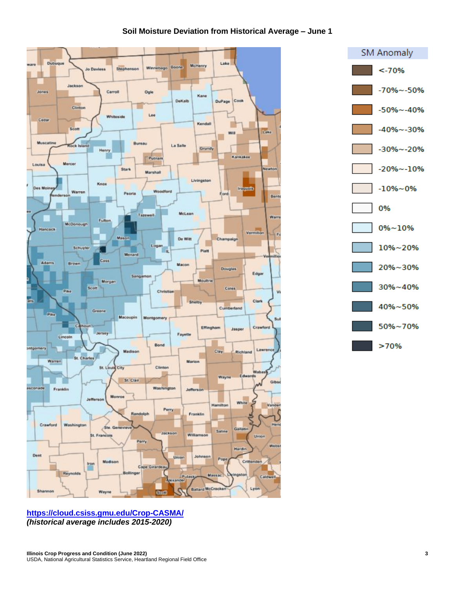# **Soil Moisture Deviation from Historical Average – June 1**